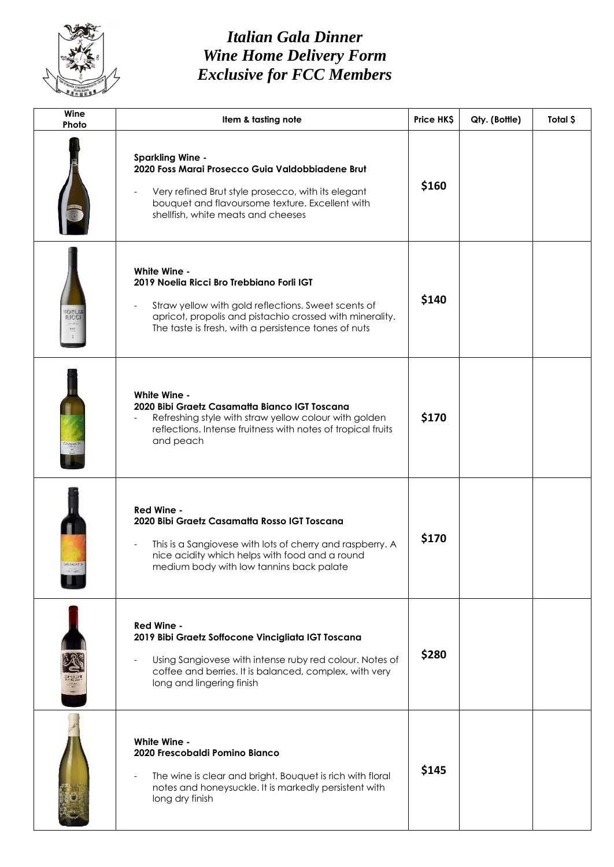

## *Italian Gala Dinner Wine Home Delivery Form Exclusive for FCC Members*

| Wine<br>Photo                | Item & tasting note                                                                                                                                                                                                                                              | Price HK\$ | Qty. (Bottle) | Total \$ |
|------------------------------|------------------------------------------------------------------------------------------------------------------------------------------------------------------------------------------------------------------------------------------------------------------|------------|---------------|----------|
|                              | <b>Sparkling Wine -</b><br>2020 Foss Marai Prosecco Guia Valdobbiadene Brut<br>Very refined Brut style prosecco, with its elegant<br>bouquet and flavoursome texture. Excellent with<br>shellfish, white meats and cheeses                                       | \$160      |               |          |
| LISO!<br>RICC<br>$\tilde{f}$ | White Wine -<br>2019 Noelia Ricci Bro Trebbiano Forli IGT<br>Straw yellow with gold reflections. Sweet scents of<br>$\overline{\phantom{0}}$<br>apricot, propolis and pistachio crossed with minerality.<br>The taste is fresh, with a persistence tones of nuts | \$140      |               |          |
|                              | White Wine -<br>2020 Bibi Graetz Casamatta Bianco IGT Toscana<br>Refreshing style with straw yellow colour with golden<br>reflections. Intense fruitness with notes of tropical fruits<br>and peach                                                              | \$170      |               |          |
| <b>DISARCATIA</b>            | Red Wine -<br>2020 Bibi Graetz Casamatta Rosso IGT Toscana<br>This is a Sangiovese with lots of cherry and raspberry. A<br>nice acidity which helps with food and a round<br>medium body with low tannins back palate                                            | \$170      |               |          |
|                              | Red Wine -<br>2019 Bibi Graetz Soffocone Vincigliata IGT Toscana<br>Using Sangiovese with intense ruby red colour. Notes of<br>coffee and berries. It is balanced, complex, with very<br>long and lingering finish                                               | \$280      |               |          |
|                              | White Wine -<br>2020 Frescobaldi Pomino Bianco<br>The wine is clear and bright. Bouquet is rich with floral<br>notes and honeysuckle. It is markedly persistent with<br>long dry finish                                                                          | \$145      |               |          |